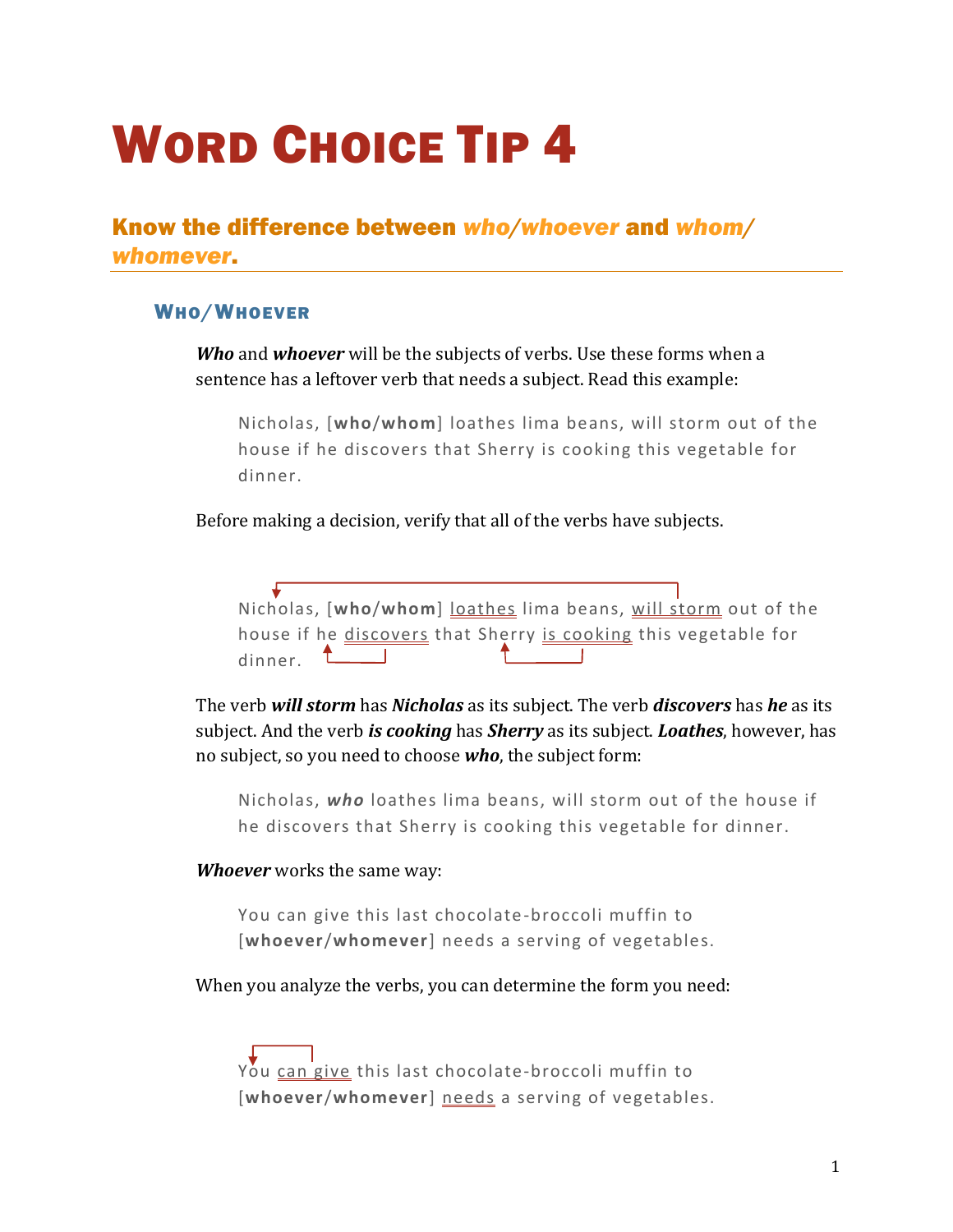# WORD CHOICE TIP 4

Know the difference between *who/whoever* and *whom/ whomever*.

### WHO/WHOEVER

*Who* and *whoever* will be the subjects of verbs. Use these forms when a sentence has a leftover verb that needs a subject. Read this example:

Nicholas, [**who**/**whom**] loathes lima beans, will storm out of the house if he discovers that Sherry is cooking this vegetable for dinner.

Before making a decision, verify that all of the verbs have subjects.

Nicholas, [**who**/**whom**] loathes lima beans, will storm out of the house if he <u>discovers</u> that Sherry is cooking this vegetable for  $dimner.$   $\begin{bmatrix} \begin{matrix} \begin{matrix} 1 \end{matrix} \\ \begin{matrix} 1 \end{matrix} \end{bmatrix} \end{bmatrix}$ 

The verb *will storm* has *Nicholas* as its subject. The verb *discovers* has *he* as its subject. And the verb *is cooking* has *Sherry* as its subject. *Loathes*, however, has no subject, so you need to choose *who*, the subject form:

Nicholas, *who* loathes lima beans, will storm out of the house if he discovers that Sherry is cooking this vegetable for dinner.

### *Whoever* works the same way:

You can give this last chocolate-broccoli muffin to [**whoever**/**whomever**] needs a serving of vegetables.

When you analyze the verbs, you can determine the form you need:

You can give this last chocolate-broccoli muffin to [**whoever**/**whomever**] needs a serving of vegetables.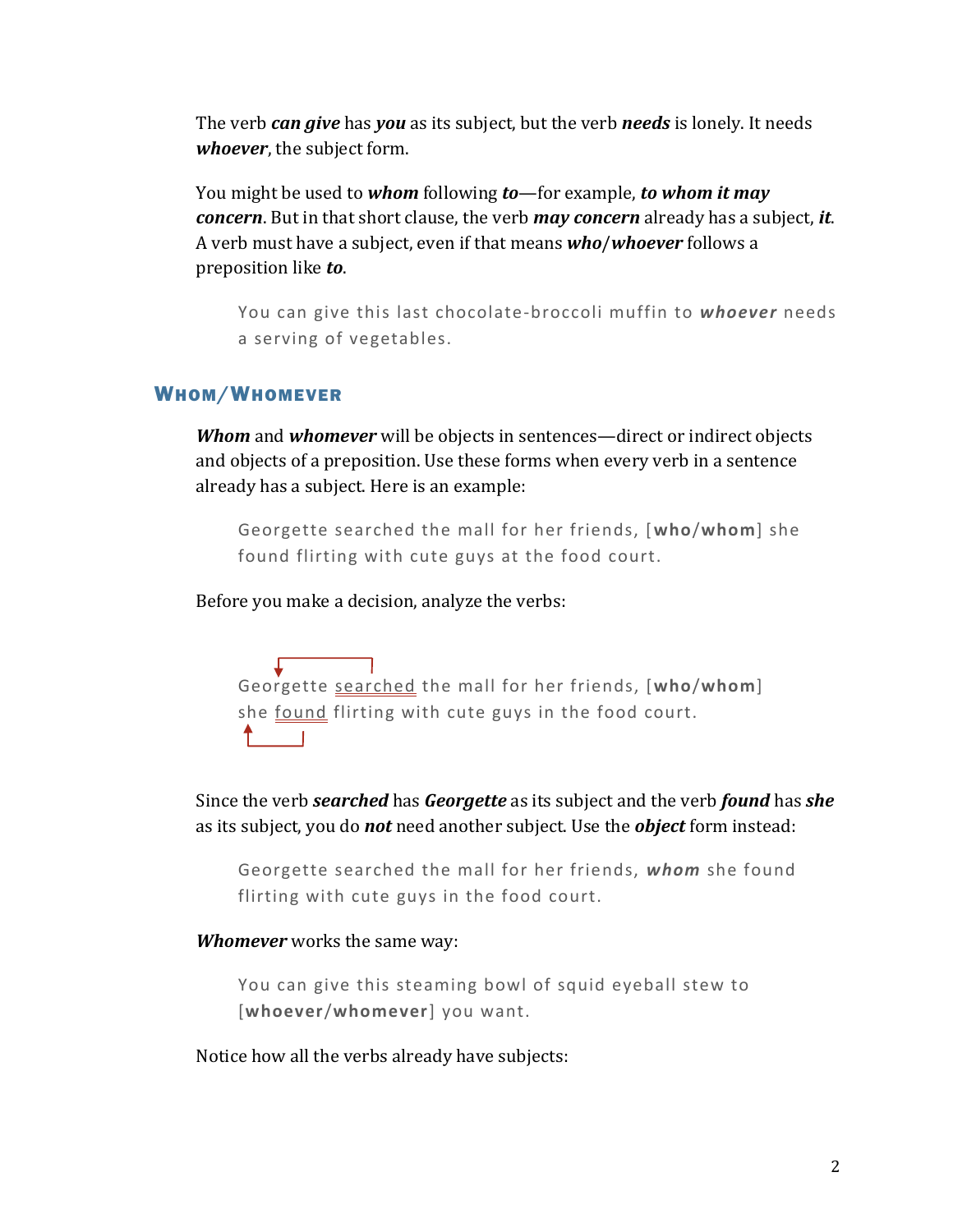The verb *can give* has *you* as its subject, but the verb *needs* is lonely. It needs *whoever*, the subject form.

You might be used to *whom* following *to*—for example, *to whom it may concern*. But in that short clause, the verb *may concern* already has a subject, *it*. A verb must have a subject, even if that means *who*/*whoever* follows a preposition like *to*.

You can give this last chocolate-broccoli muffin to *whoever* needs a serving of vegetables.

### WHOM/WHOMEVER

*Whom* and *whomever* will be objects in sentences—direct or indirect objects and objects of a preposition. Use these forms when every verb in a sentence already has a subject. Here is an example:

Georgette searched the mall for her friends, [**who**/**whom**] she found flirting with cute guys at the food court.

Before you make a decision, analyze the verbs:

Georgette searched the mall for her friends, [**who**/**whom**] she found flirting with cute guys in the food court.  $\uparrow$  1

Since the verb *searched* has *Georgette* as its subject and the verb *found* has *she* as its subject, you do *not* need another subject. Use the *object* form instead:

Georgette searched the mall for her friends, *whom* she found flirting with cute guys in the food court.

### *Whomever* works the same way:

You can give this steaming bowl of squid eyeball stew to [**whoever**/**whomever**] you want.

Notice how all the verbs already have subjects: